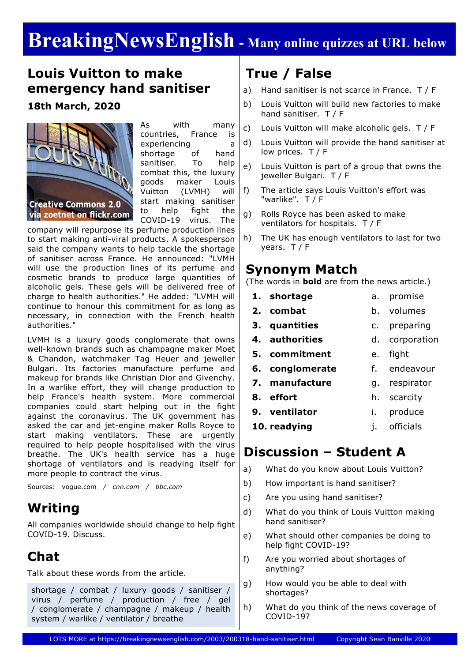# **BreakingNewsEnglish - Many online quizzes at URL below**

## **Louis Vuitton to make emergency hand sanitiser**

### **18th March, 2020**



As with many countries, France is experiencing a shortage of hand sanitiser. To help combat this, the luxury goods maker Louis Vuitton (LVMH) will start making sanitiser to help fight the COVID-19 virus. The

company will repurpose its perfume production lines to start making anti-viral products. A spokesperson said the company wants to help tackle the shortage of sanitiser across France. He announced: "LVMH will use the production lines of its perfume and cosmetic brands to produce large quantities of alcoholic gels. These gels will be delivered free of charge to health authorities." He added: "LVMH will continue to honour this commitment for as long as necessary, in connection with the French health authorities."

LVMH is a luxury goods conglomerate that owns well-known brands such as champagne maker Moet & Chandon, watchmaker Tag Heuer and jeweller Bulgari. Its factories manufacture perfume and makeup for brands like Christian Dior and Givenchy. In a warlike effort, they will change production to help France's health system. More commercial companies could start helping out in the fight against the coronavirus. The UK government has asked the car and jet-engine maker Rolls Royce to start making ventilators. These are urgently required to help people hospitalised with the virus breathe. The UK's health service has a huge shortage of ventilators and is readying itself for more people to contract the virus.

Sources: vogue.com */ cnn.com / bbc.com*

## **Writing**

All companies worldwide should change to help fight COVID-19. Discuss.

# **Chat**

Talk about these words from the article.

shortage / combat / luxury goods / sanitiser / virus / perfume / production / free / gel / conglomerate / champagne / makeup / health system / warlike / ventilator / breathe

# **True / False**

- a) Hand sanitiser is not scarce in France. T / F
- b) Louis Vuitton will build new factories to make hand sanitiser. T / F
- c) Louis Vuitton will make alcoholic gels. T / F
- d) Louis Vuitton will provide the hand sanitiser at low prices. T / F
- e) Louis Vuitton is part of a group that owns the jeweller Bulgari. T / F
- f) The article says Louis Vuitton's effort was "warlike". T / F
- g) Rolls Royce has been asked to make ventilators for hospitals. T / F
- h) The UK has enough ventilators to last for two years. T / F

### **Synonym Match**

(The words in **bold** are from the news article.)

- **1. shortage** a. promise
- **2. combat** b. volumes
- **3. quantities** c. preparing
- **4. authorities** d. corporation
- **5. commitment** e. fight
- **6. conglomerate** f. endeavour
- **7. manufacture** g. respirator

h. scarcity

- **8. effort**
- **9. ventilator** i. produce
- **10. readying** j. officials

## **Discussion – Student A**

- a) What do you know about Louis Vuitton?
- b) How important is hand sanitiser?
- c) Are you using hand sanitiser?
- d) What do you think of Louis Vuitton making hand sanitiser?
- e) What should other companies be doing to help fight COVID-19?
- f) Are you worried about shortages of anything?
- g) How would you be able to deal with shortages?
- h) What do you think of the news coverage of COVID-19?